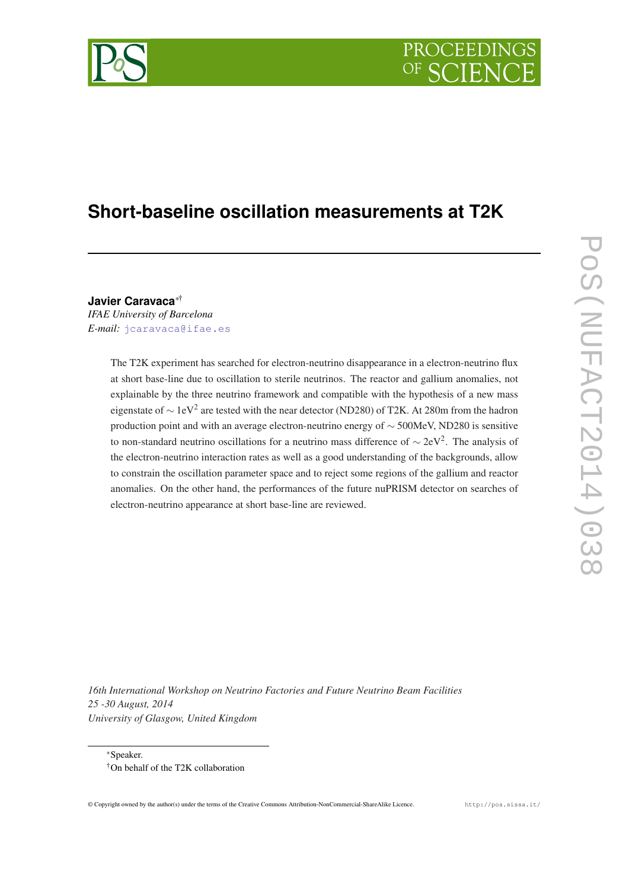# PROCEEDIN

## **Short-baseline oscillation measurements at T2K**

**Javier Caravaca**∗† *IFAE University of Barcelona*

*E-mail:* [jcaravaca@ifae.es](mailto:jcaravaca@ifae.es)

The T2K experiment has searched for electron-neutrino disappearance in a electron-neutrino flux at short base-line due to oscillation to sterile neutrinos. The reactor and gallium anomalies, not explainable by the three neutrino framework and compatible with the hypothesis of a new mass eigenstate of  $\sim 1$ eV<sup>2</sup> are tested with the near detector (ND280) of T2K. At 280m from the hadron production point and with an average electron-neutrino energy of ∼ 500MeV, ND280 is sensitive to non-standard neutrino oscillations for a neutrino mass difference of  $\sim 2eV^2$ . The analysis of the electron-neutrino interaction rates as well as a good understanding of the backgrounds, allow to constrain the oscillation parameter space and to reject some regions of the gallium and reactor anomalies. On the other hand, the performances of the future nuPRISM detector on searches of electron-neutrino appearance at short base-line are reviewed.

*16th International Workshop on Neutrino Factories and Future Neutrino Beam Facilities 25 -30 August, 2014 University of Glasgow, United Kingdom*

<sup>∗</sup>Speaker. †On behalf of the T2K collaboration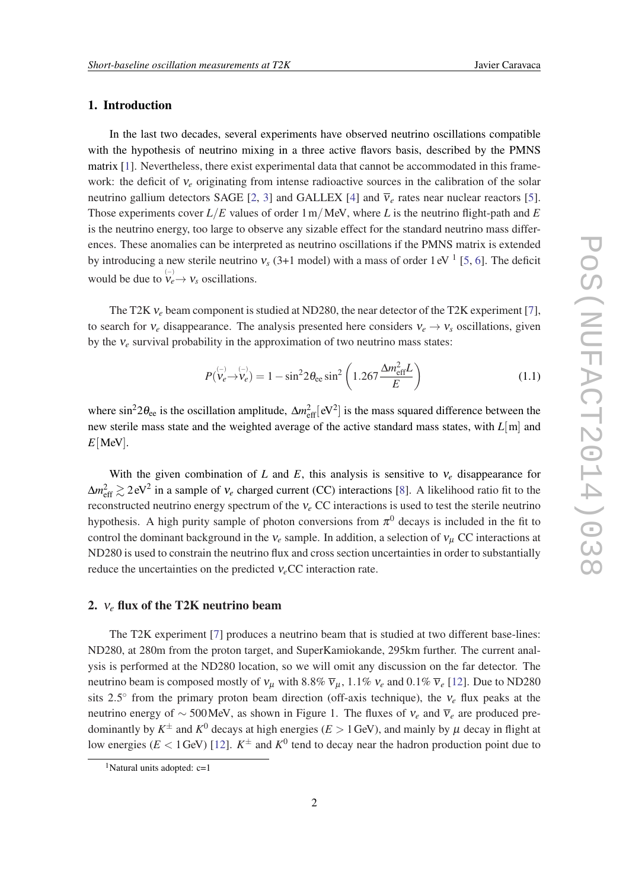### 1. Introduction

In the last two decades, several experiments have observed neutrino oscillations compatible with the hypothesis of neutrino mixing in a three active flavors basis, described by the PMNS matrix [[1](#page-6-0)]. Nevertheless, there exist experimental data that cannot be accommodated in this framework: the deficit of ν*<sup>e</sup>* originating from intense radioactive sources in the calibration of the solar neutrino gallium detectors SAGE [[2](#page-6-0), [3\]](#page-6-0) and GALLEX [\[4\]](#page-7-0) and  $\overline{v}_e$  rates near nuclear reactors [\[5\]](#page-7-0). Those experiments cover *L*/*E* values of order 1m/MeV, where *L* is the neutrino flight-path and *E* is the neutrino energy, too large to observe any sizable effect for the standard neutrino mass differences. These anomalies can be interpreted as neutrino oscillations if the PMNS matrix is extended by introducing a new sterile neutrino  $v_s$  (3+1 model) with a mass of order  $1 \text{ eV}$ <sup>1</sup> [[5](#page-7-0), [6](#page-7-0)]. The deficit would be due to  $\stackrel{(-)}{\nu_e} \rightarrow \nu_s$  oscillations.

The T2K ν*<sup>e</sup>* beam component is studied at ND280, the near detector of the T2K experiment [\[7\]](#page-7-0), to search for  $v_e$  disappearance. The analysis presented here considers  $v_e \rightarrow v_s$  oscillations, given by the  $v_e$  survival probability in the approximation of two neutrino mass states:

$$
P(\nu_e \to \nu_e) = 1 - \sin^2 2\theta_{ee} \sin^2 \left( 1.267 \frac{\Delta m_{\text{eff}}^2 L}{E} \right)
$$
 (1.1)

where  $\sin^2 2\theta_{ee}$  is the oscillation amplitude,  $\Delta m_{eff}^2$  [eV<sup>2</sup>] is the mass squared difference between the new sterile mass state and the weighted average of the active standard mass states, with *L*[m] and  $E[MeV]$ .

With the given combination of *L* and *E*, this analysis is sensitive to  $v_e$  disappearance for  $\Delta m_{\text{eff}}^2 \gtrsim 2 \text{ eV}^2$  in a sample of  $v_e$  charged current (CC) interactions [\[8](#page-7-0)]. A likelihood ratio fit to the reconstructed neutrino energy spectrum of the ν*<sup>e</sup>* CC interactions is used to test the sterile neutrino hypothesis. A high purity sample of photon conversions from  $\pi^0$  decays is included in the fit to control the dominant background in the  $v_e$  sample. In addition, a selection of  $v_u$  CC interactions at ND280 is used to constrain the neutrino flux and cross section uncertainties in order to substantially reduce the uncertainties on the predicted ν*e*CC interaction rate.

#### 2. ν*<sup>e</sup>* flux of the T2K neutrino beam

The T2K experiment [\[7\]](#page-7-0) produces a neutrino beam that is studied at two different base-lines: ND280, at 280m from the proton target, and SuperKamiokande, 295km further. The current analysis is performed at the ND280 location, so we will omit any discussion on the far detector. The neutrino beam is composed mostly of  $v_\mu$  with 8.8%  $\overline{v}_\mu$ , 1.1%  $v_e$  and 0.1%  $\overline{v}_e$  [\[12](#page-7-0)]. Due to ND280 sits 2.5° from the primary proton beam direction (off-axis technique), the  $v_e$  flux peaks at the neutrino energy of ~ 500 MeV, as shown in Figure 1. The fluxes of  $v_e$  and  $\overline{v}_e$  are produced predominantly by  $K^{\pm}$  and  $K^0$  decays at high energies ( $E > 1$  GeV), and mainly by  $\mu$  decay in flight at low energies ( $E < 1$  GeV) [[12\]](#page-7-0).  $K^{\pm}$  and  $K^0$  tend to decay near the hadron production point due to

<sup>&</sup>lt;sup>1</sup>Natural units adopted:  $c=1$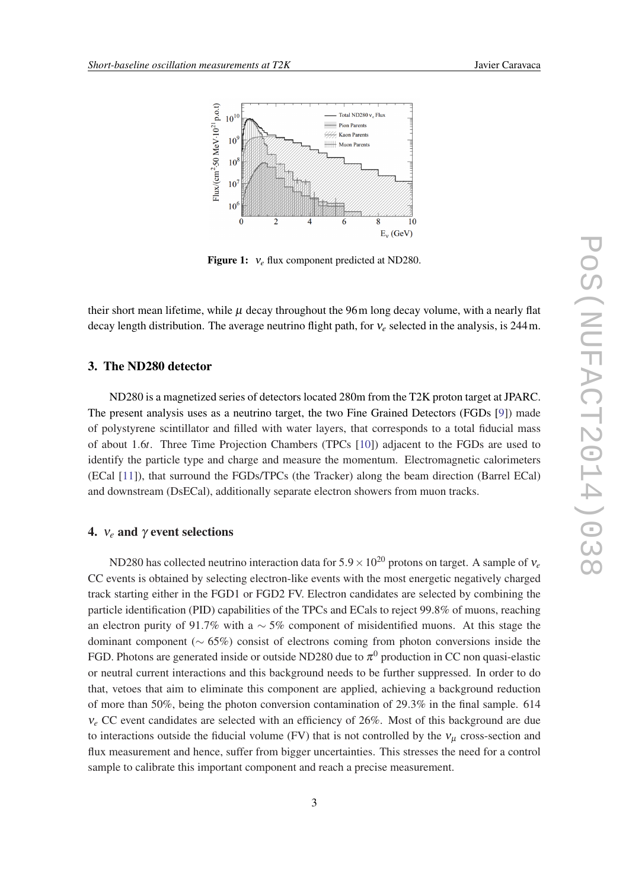

Figure 1: ν*<sup>e</sup>* flux component predicted at ND280.

their short mean lifetime, while  $\mu$  decay throughout the 96m long decay volume, with a nearly flat decay length distribution. The average neutrino flight path, for ν*<sup>e</sup>* selected in the analysis, is 244m.

#### 3. The ND280 detector

ND280 is a magnetized series of detectors located 280m from the T2K proton target at JPARC. The present analysis uses as a neutrino target, the two Fine Grained Detectors (FGDs [\[9\]](#page-7-0)) made of polystyrene scintillator and filled with water layers, that corresponds to a total fiducial mass of about 1.6*t*. Three Time Projection Chambers (TPCs [\[10](#page-7-0)]) adjacent to the FGDs are used to identify the particle type and charge and measure the momentum. Electromagnetic calorimeters (ECal [[11\]](#page-7-0)), that surround the FGDs/TPCs (the Tracker) along the beam direction (Barrel ECal) and downstream (DsECal), additionally separate electron showers from muon tracks.

#### 4. ν*<sup>e</sup>* and γ event selections

ND280 has collected neutrino interaction data for 5.9×10<sup>20</sup> protons on target. A sample of ν*<sup>e</sup>* CC events is obtained by selecting electron-like events with the most energetic negatively charged track starting either in the FGD1 or FGD2 FV. Electron candidates are selected by combining the particle identification (PID) capabilities of the TPCs and ECals to reject 99.8% of muons, reaching an electron purity of 91.7% with a  $\sim$  5% component of misidentified muons. At this stage the dominant component (∼ 65%) consist of electrons coming from photon conversions inside the FGD. Photons are generated inside or outside ND280 due to  $\pi^0$  production in CC non quasi-elastic or neutral current interactions and this background needs to be further suppressed. In order to do that, vetoes that aim to eliminate this component are applied, achieving a background reduction of more than 50%, being the photon conversion contamination of 29.3% in the final sample. 614 ν*<sup>e</sup>* CC event candidates are selected with an efficiency of 26%. Most of this background are due to interactions outside the fiducial volume (FV) that is not controlled by the  $v<sub>u</sub>$  cross-section and flux measurement and hence, suffer from bigger uncertainties. This stresses the need for a control sample to calibrate this important component and reach a precise measurement.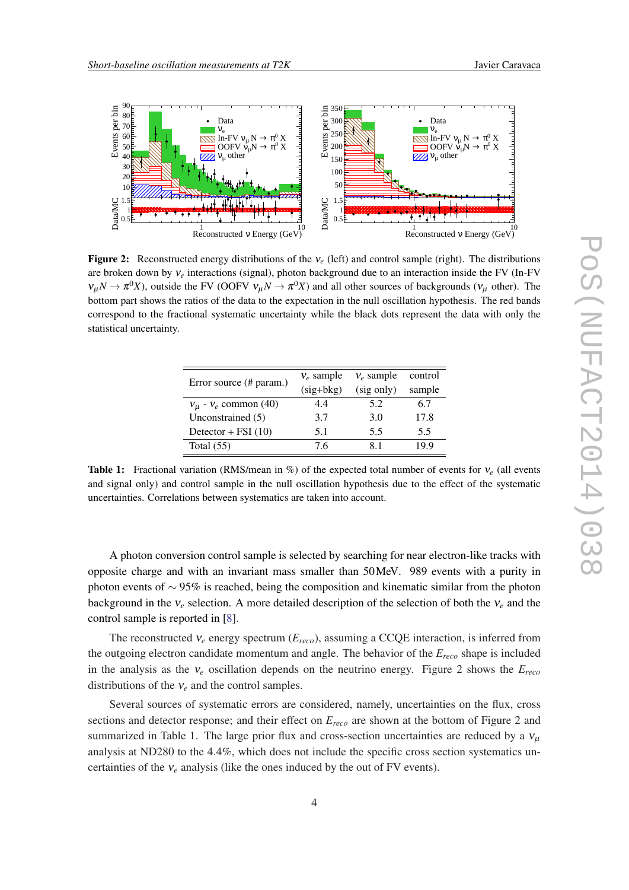

Figure 2: Reconstructed energy distributions of the ν*<sup>e</sup>* (left) and control sample (right). The distributions are broken down by ν*<sup>e</sup>* interactions (signal), photon background due to an interaction inside the FV (In-FV  $v_\mu N \to \pi^0 X$ ), outside the FV (OOFV  $v_\mu N \to \pi^0 X$ ) and all other sources of backgrounds ( $v_\mu$  other). The bottom part shows the ratios of the data to the expectation in the null oscillation hypothesis. The red bands correspond to the fractional systematic uncertainty while the black dots represent the data with only the statistical uncertainty.

| Error source (# param.)       | $v_e$ sample | $v_e$ sample | control |
|-------------------------------|--------------|--------------|---------|
|                               | $(sig+bkg)$  | (sig only)   | sample  |
| $v_{\mu}$ - $v_e$ common (40) | 4.4          | 5.2          | 6.7     |
| Unconstrained (5)             | 3.7          | 3.0          | 17.8    |
| Detector + FSI $(10)$         | 5.1          | 5.5          | 5.5     |
| Total $(55)$                  | 76           | 81           | 19 9    |

Table 1: Fractional variation (RMS/mean in %) of the expected total number of events for ν*<sup>e</sup>* (all events and signal only) and control sample in the null oscillation hypothesis due to the effect of the systematic uncertainties. Correlations between systematics are taken into account.

A photon conversion control sample is selected by searching for near electron-like tracks with opposite charge and with an invariant mass smaller than 50MeV. 989 events with a purity in photon events of ∼ 95% is reached, being the composition and kinematic similar from the photon background in the  $v_e$  selection. A more detailed description of the selection of both the  $v_e$  and the control sample is reported in [[8\]](#page-7-0).

The reconstructed ν*<sup>e</sup>* energy spectrum (*Ereco*), assuming a CCQE interaction, is inferred from the outgoing electron candidate momentum and angle. The behavior of the *Ereco* shape is included in the analysis as the ν*<sup>e</sup>* oscillation depends on the neutrino energy. Figure 2 shows the *Ereco* distributions of the ν*<sup>e</sup>* and the control samples.

Several sources of systematic errors are considered, namely, uncertainties on the flux, cross sections and detector response; and their effect on *Ereco* are shown at the bottom of Figure 2 and summarized in Table 1. The large prior flux and cross-section uncertainties are reduced by a  $v<sub>u</sub>$ analysis at ND280 to the 4.4%, which does not include the specific cross section systematics uncertainties of the  $v_e$  analysis (like the ones induced by the out of FV events).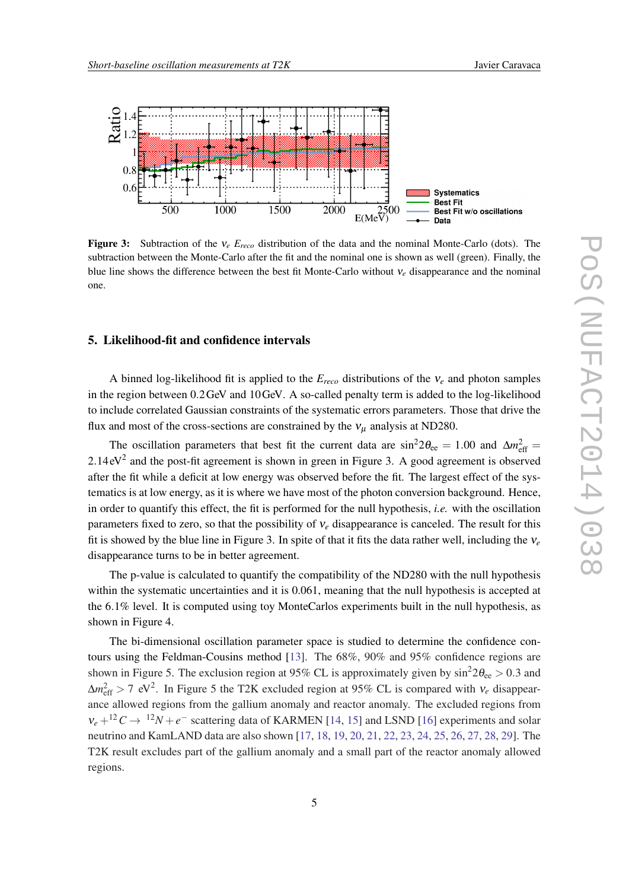

Figure 3: Subtraction of the ν*<sup>e</sup> Ereco* distribution of the data and the nominal Monte-Carlo (dots). The subtraction between the Monte-Carlo after the fit and the nominal one is shown as well (green). Finally, the blue line shows the difference between the best fit Monte-Carlo without ν*<sup>e</sup>* disappearance and the nominal one.

#### 5. Likelihood-fit and confidence intervals

A binned log-likelihood fit is applied to the *Ereco* distributions of the ν*<sup>e</sup>* and photon samples in the region between 0.2GeV and 10GeV. A so-called penalty term is added to the log-likelihood to include correlated Gaussian constraints of the systematic errors parameters. Those that drive the flux and most of the cross-sections are constrained by the  $v_{\mu}$  analysis at ND280.

The oscillation parameters that best fit the current data are  $\sin^2 2\theta_{ee} = 1.00$  and  $\Delta m_{eff}^2 =$  $2.14 \text{ eV}^2$  and the post-fit agreement is shown in green in Figure 3. A good agreement is observed after the fit while a deficit at low energy was observed before the fit. The largest effect of the systematics is at low energy, as it is where we have most of the photon conversion background. Hence, in order to quantify this effect, the fit is performed for the null hypothesis, *i.e.* with the oscillation parameters fixed to zero, so that the possibility of ν*<sup>e</sup>* disappearance is canceled. The result for this fit is showed by the blue line in Figure 3. In spite of that it fits the data rather well, including the ν*<sup>e</sup>* disappearance turns to be in better agreement.

The p-value is calculated to quantify the compatibility of the ND280 with the null hypothesis within the systematic uncertainties and it is 0.061, meaning that the null hypothesis is accepted at the 6.1% level. It is computed using toy MonteCarlos experiments built in the null hypothesis, as shown in Figure 4.

The bi-dimensional oscillation parameter space is studied to determine the confidence contours using the Feldman-Cousins method [\[13\]](#page-7-0). The 68%, 90% and 95% confidence regions are shown in Figure 5. The exclusion region at 95% CL is approximately given by  $\sin^2 2\theta_{ee} > 0.3$  and  $\Delta m_{\text{eff}}^2 > 7 \text{ eV}^2$ . In Figure 5 the T2K excluded region at 95% CL is compared with  $v_e$  disappearance allowed regions from the gallium anomaly and reactor anomaly. The excluded regions from  $v_e + {}^{12}C \rightarrow {}^{12}N + e^-$  scattering data of KARMEN [\[14](#page-7-0), [15](#page-7-0)] and LSND [\[16](#page-7-0)] experiments and solar neutrino and KamLAND data are also shown [[17,](#page-7-0) [18,](#page-7-0) [19](#page-7-0), [20](#page-7-0), [21](#page-7-0), [22](#page-7-0), [23,](#page-7-0) [24,](#page-7-0) [25,](#page-7-0) [26,](#page-7-0) [27,](#page-7-0) [28](#page-7-0), [29](#page-7-0)]. The T2K result excludes part of the gallium anomaly and a small part of the reactor anomaly allowed regions.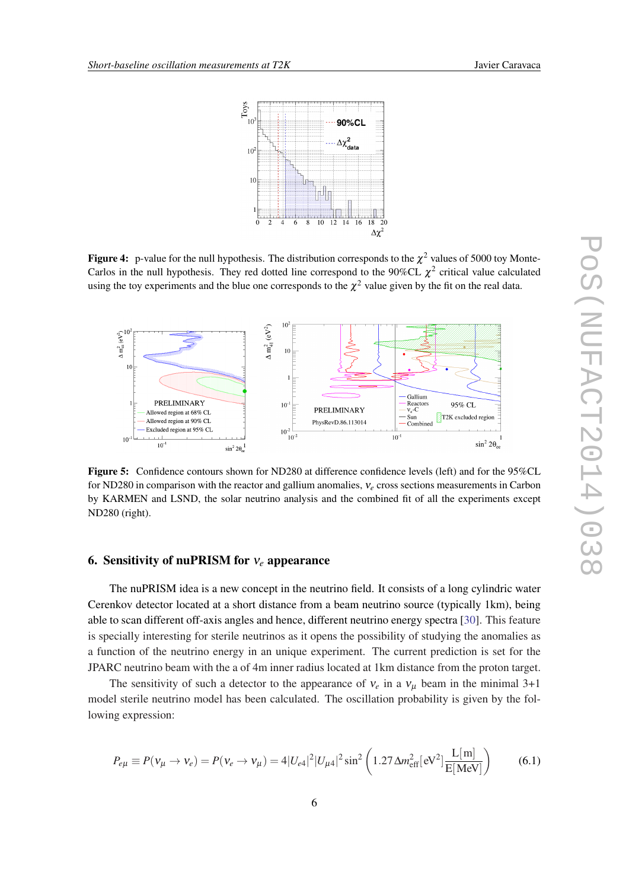

**Figure 4:** p-value for the null hypothesis. The distribution corresponds to the  $\chi^2$  values of 5000 toy Monte-Carlos in the null hypothesis. They red dotted line correspond to the 90%CL  $\chi^2$  critical value calculated using the toy experiments and the blue one corresponds to the  $\chi^2$  value given by the fit on the real data.



Figure 5: Confidence contours shown for ND280 at difference confidence levels (left) and for the 95%CL for ND280 in comparison with the reactor and gallium anomalies, ν*<sup>e</sup>* cross sections measurements in Carbon by KARMEN and LSND, the solar neutrino analysis and the combined fit of all the experiments except ND280 (right).

#### 6. Sensitivity of nuPRISM for ν*<sup>e</sup>* appearance

The nuPRISM idea is a new concept in the neutrino field. It consists of a long cylindric water Cerenkov detector located at a short distance from a beam neutrino source (typically 1km), being able to scan different off-axis angles and hence, different neutrino energy spectra [\[30](#page-7-0)]. This feature is specially interesting for sterile neutrinos as it opens the possibility of studying the anomalies as a function of the neutrino energy in an unique experiment. The current prediction is set for the JPARC neutrino beam with the a of 4m inner radius located at 1km distance from the proton target.

The sensitivity of such a detector to the appearance of  $v_e$  in a  $v_u$  beam in the minimal 3+1 model sterile neutrino model has been calculated. The oscillation probability is given by the following expression:

$$
P_{e\mu} \equiv P(v_{\mu} \to v_{e}) = P(v_{e} \to v_{\mu}) = 4|U_{e4}|^{2}|U_{\mu 4}|^{2}\sin^{2}\left(1.27 \Delta m_{\text{eff}}^{2}[eV^{2}]\frac{L[m]}{E[\text{MeV}]}\right) \tag{6.1}
$$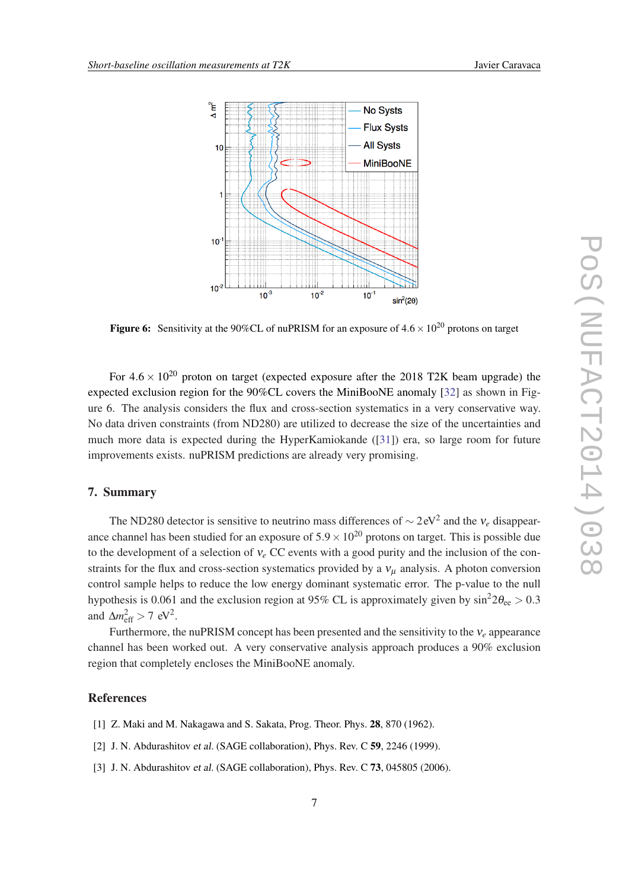<span id="page-6-0"></span>

Figure 6: Sensitivity at the 90%CL of nuPRISM for an exposure of  $4.6 \times 10^{20}$  protons on target

For  $4.6 \times 10^{20}$  proton on target (expected exposure after the 2018 T2K beam upgrade) the expected exclusion region for the 90%CL covers the MiniBooNE anomaly [\[32](#page-7-0)] as shown in Figure 6. The analysis considers the flux and cross-section systematics in a very conservative way. No data driven constraints (from ND280) are utilized to decrease the size of the uncertainties and much more data is expected during the HyperKamiokande ([\[31](#page-7-0)]) era, so large room for future improvements exists. nuPRISM predictions are already very promising.

#### 7. Summary

The ND280 detector is sensitive to neutrino mass differences of  $\sim$  2 eV<sup>2</sup> and the  $v_e$  disappearance channel has been studied for an exposure of  $5.9 \times 10^{20}$  protons on target. This is possible due to the development of a selection of ν*<sup>e</sup>* CC events with a good purity and the inclusion of the constraints for the flux and cross-section systematics provided by a  $v_{\mu}$  analysis. A photon conversion control sample helps to reduce the low energy dominant systematic error. The p-value to the null hypothesis is 0.061 and the exclusion region at 95% CL is approximately given by  $\sin^2 2\theta_{ee} > 0.3$ and  $\Delta m_{\text{eff}}^2 > 7 \text{ eV}^2$ .

Furthermore, the nuPRISM concept has been presented and the sensitivity to the ν*<sup>e</sup>* appearance channel has been worked out. A very conservative analysis approach produces a 90% exclusion region that completely encloses the MiniBooNE anomaly.

#### **References**

- [1] Z. Maki and M. Nakagawa and S. Sakata, Prog. Theor. Phys. **28**, 870 (1962).
- [2] J. N. Abdurashitov et al. (SAGE collaboration), Phys. Rev. C 59, 2246 (1999).
- [3] J. N. Abdurashitov et al. (SAGE collaboration), Phys. Rev. C 73, 045805 (2006).